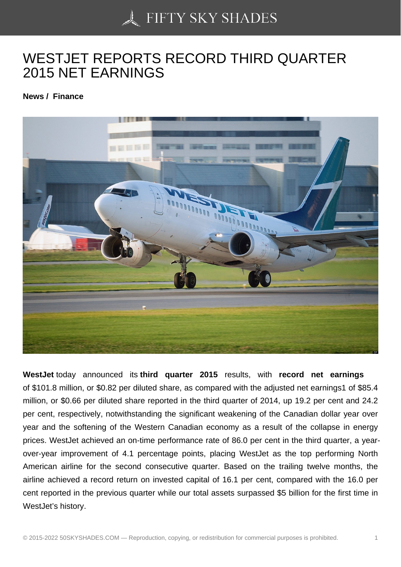## [WESTJET REPORTS](https://50skyshades.com) RECORD THIRD QUARTER 2015 NET EARNINGS

News / Finance

WestJet today announced its third quarter 201 5 results, with record net earnings of \$101.8 million, or \$0.82 per diluted share, as compared with the adjusted net earnings1 of \$85.4 million, or \$0.66 per diluted share reported in the third quarter of 2014, up 19.2 per cent and 24.2 per cent, respectively, notwithstanding the significant weakening of the Canadian dollar year over year and the softening of the Western Canadian economy as a result of the collapse in energy prices. WestJet achieved an on-time performance rate of 86.0 per cent in the third quarter, a yearover-year improvement of 4.1 percentage points, placing WestJet as the top performing North American airline for the second consecutive quarter. Based on the trailing twelve months, the airline achieved a record return on invested capital of 16.1 per cent, compared with the 16.0 per cent reported in the previous quarter while our total assets surpassed \$5 billion for the first time in WestJet's history.